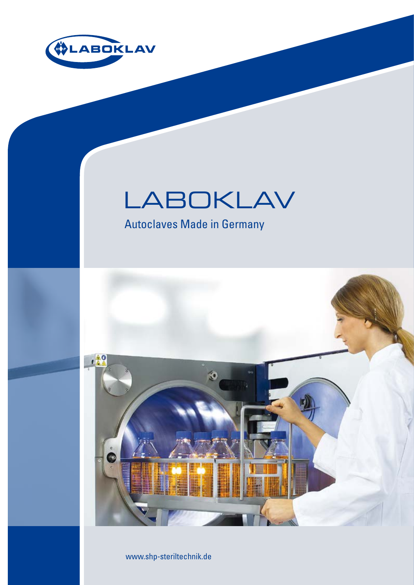

# LABOKLAV

Autoclaves Made in Germany



www.shp-steriltechnik.de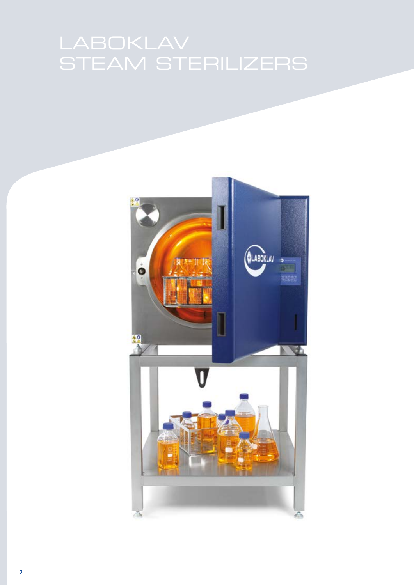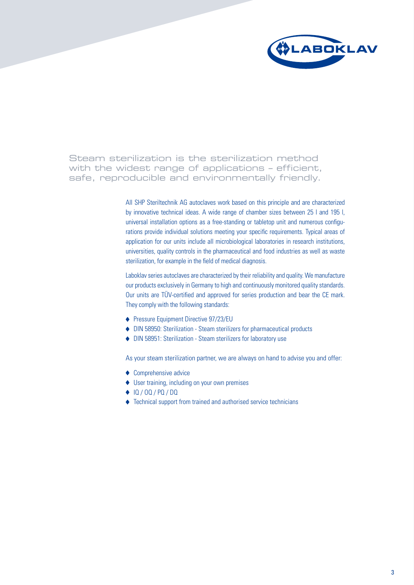

Steam sterilization is the sterilization method with the widest range of applications – efficient, safe, reproducible and environmentally friendly.

> All SHP Steriltechnik AG autoclaves work based on this principle and are characterized by innovative technical ideas. A wide range of chamber sizes between 25 l and 195 l, universal installation options as a free-standing or tabletop unit and numerous configurations provide individual solutions meeting your specific requirements. Typical areas of application for our units include all microbiological laboratories in research institutions, universities, quality controls in the pharmaceutical and food industries as well as waste sterilization, for example in the field of medical diagnosis.

> Laboklav series autoclaves are characterized by their reliability and quality. We manufacture our products exclusively in Germany to high and continuously monitored quality standards. Our units are TÜV-certified and approved for series production and bear the CE mark. They comply with the following standards:

- ◆ Pressure Equipment Directive 97/23/EU
- DIN 58950: Sterilization Steam sterilizers for pharmaceutical products
- ◆ DIN 58951: Sterilization Steam sterilizers for laboratory use

As your steam sterilization partner, we are always on hand to advise you and offer:

- ◆ Comprehensive advice
- ◆ User training, including on your own premises
- ◆ IQ / 0Q / PQ / DQ
- ◆ Technical support from trained and authorised service technicians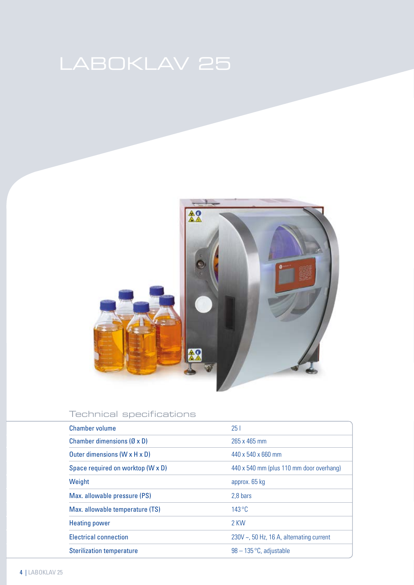

# Technical specifications

| Chamber volume                            | 251                                            |
|-------------------------------------------|------------------------------------------------|
| Chamber dimensions $(\emptyset \times D)$ | 265 x 465 mm                                   |
| Outer dimensions (W x H x D)              | 440 x 540 x 660 mm                             |
| Space required on worktop (W x D)         | 440 x 540 mm (plus 110 mm door overhang)       |
| Weight                                    | approx. 65 kg                                  |
| Max. allowable pressure (PS)              | 2.8 bars                                       |
| Max. allowable temperature (TS)           | $143^{\circ}$ C                                |
| <b>Heating power</b>                      | 2 KW                                           |
| <b>Electrical connection</b>              | 230V $\sim$ , 50 Hz, 16 A, alternating current |
| <b>Sterilization temperature</b>          | $98 - 135$ °C, adjustable                      |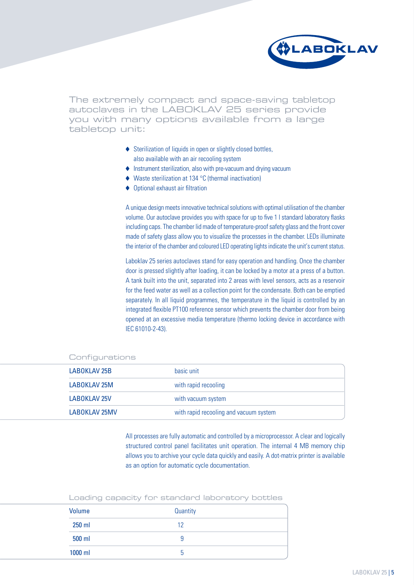

The extremely compact and space-saving tabletop autoclaves in the LABOKLAV 25 series provide you with many options available from a large tabletop unit:

- ◆ Sterilization of liquids in open or slightly closed bottles, also available with an air recooling system
- Instrument sterilization, also with pre-vacuum and drying vacuum
- ◆ Waste sterilization at 134 °C (thermal inactivation)
- ◆ Optional exhaust air filtration

A unique design meets innovative technical solutions with optimal utilisation of the chamber volume. Our autoclave provides you with space for up to five 1 l standard laboratory flasks including caps. The chamber lid made of temperature-proof safety glass and the front cover made of safety glass allow you to visualize the processes in the chamber. LEDs illuminate the interior of the chamber and coloured LED operating lights indicate the unit's current status.

Laboklav 25 series autoclaves stand for easy operation and handling. Once the chamber door is pressed slightly after loading, it can be locked by a motor at a press of a button. A tank built into the unit, separated into 2 areas with level sensors, acts as a reservoir for the feed water as well as a collection point for the condensate. Both can be emptied separately. In all liquid programmes, the temperature in the liquid is controlled by an integrated flexible PT100 reference sensor which prevents the chamber door from being opened at an excessive media temperature (thermo locking device in accordance with IEC 61010-2-43).

| LABOKLAV 25B  | basic unit                             |
|---------------|----------------------------------------|
| LABOKLAV 25M  | with rapid recooling                   |
| LABOKLAV 25V  | with vacuum system                     |
| LABOKLAV 25MV | with rapid recooling and vacuum system |

### Configurations

All processes are fully automatic and controlled by a microprocessor. A clear and logically structured control panel facilitates unit operation. The internal 4 MB memory chip allows you to archive your cycle data quickly and easily. A dot-matrix printer is available as an option for automatic cycle documentation.

| Volume   | Quantity |
|----------|----------|
| $250$ ml | 12       |
| 500 ml   |          |
| 1000 ml  | 'n       |

Loading capacity for standard laboratory bottles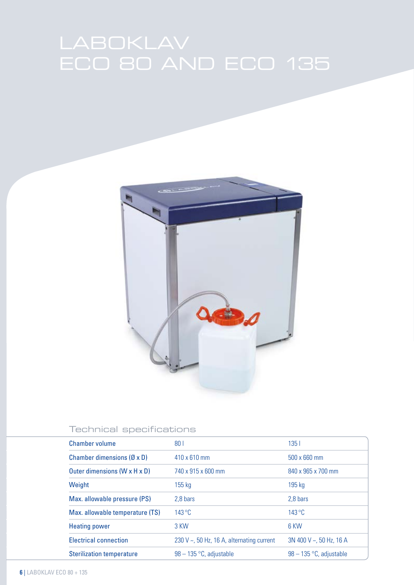

# Technical specifications

| <b>Chamber volume</b>                     | 80 <sub>1</sub>                                 | 1351                      |
|-------------------------------------------|-------------------------------------------------|---------------------------|
| Chamber dimensions $(\emptyset \times D)$ | $410 \times 610$ mm                             | 500 x 660 mm              |
| Outer dimensions (W x H x D)              | 740 x 915 x 600 mm                              | 840 x 965 x 700 mm        |
| Weight                                    | $155$ kg                                        | 195 kg                    |
| Max. allowable pressure (PS)              | 2.8 bars                                        | 2.8 bars                  |
| Max. allowable temperature (TS)           | $143^{\circ}$ C                                 | $143^{\circ}$ C           |
| <b>Heating power</b>                      | 3 KW                                            | 6 KW                      |
| <b>Electrical connection</b>              | 230 V $\sim$ , 50 Hz, 16 A, alternating current | 3N 400 V ~, 50 Hz, 16 A   |
| <b>Sterilization temperature</b>          | $98 - 135$ °C, adjustable                       | $98 - 135$ °C, adjustable |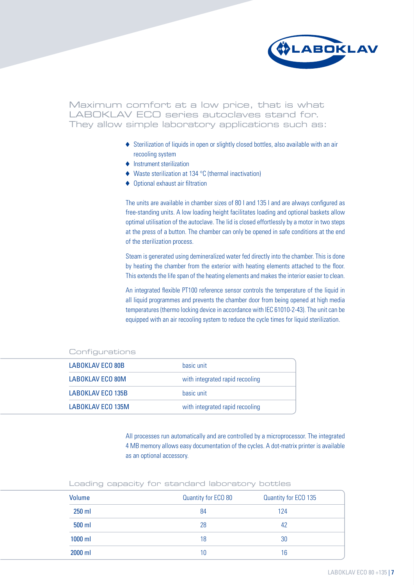

Maximum comfort at a low price, that is what LABOKLAV ECO series autoclaves stand for. They allow simple laboratory applications such as:

- Sterilization of liquids in open or slightly closed bottles, also available with an air recooling system
- ♦ Instrument sterilization
- ◆ Waste sterilization at 134 °C (thermal inactivation)
- ◆ Optional exhaust air filtration

The units are available in chamber sizes of 80 l and 135 l and are always configured as free-standing units. A low loading height facilitates loading and optional baskets allow optimal utilisation of the autoclave. The lid is closed effortlessly by a motor in two steps at the press of a button. The chamber can only be opened in safe conditions at the end of the sterilization process.

Steam is generated using demineralized water fed directly into the chamber. This is done by heating the chamber from the exterior with heating elements attached to the floor. This extends the life span of the heating elements and makes the interior easier to clean.

An integrated flexible PT100 reference sensor controls the temperature of the liquid in all liquid programmes and prevents the chamber door from being opened at high media temperatures (thermo locking device in accordance with IEC 61010-2-43). The unit can be equipped with an air recooling system to reduce the cycle times for liquid sterilization.

| <b>LABOKLAV ECO 80B</b>  | basic unit                      |
|--------------------------|---------------------------------|
| <b>LABOKLAV ECO 80M</b>  | with integrated rapid recooling |
| <b>LABOKLAV ECO 135B</b> | basic unit                      |
| LABOKLAV ECO 135M        | with integrated rapid recooling |

### Configurations

All processes run automatically and are controlled by a microprocessor. The integrated 4 MB memory allows easy documentation of the cycles. A dot-matrix printer is available as an optional accessory.

| Loading capacity for standard laboratory bottles |  |
|--------------------------------------------------|--|
|--------------------------------------------------|--|

| Volume   | Quantity for ECO 80 | Quantity for ECO 135 |  |
|----------|---------------------|----------------------|--|
| $250$ ml | 84                  | 124                  |  |
| 500 ml   | 28                  | 42                   |  |
| 1000 ml  | 18                  | 30                   |  |
| 2000 ml  | 10                  | 16                   |  |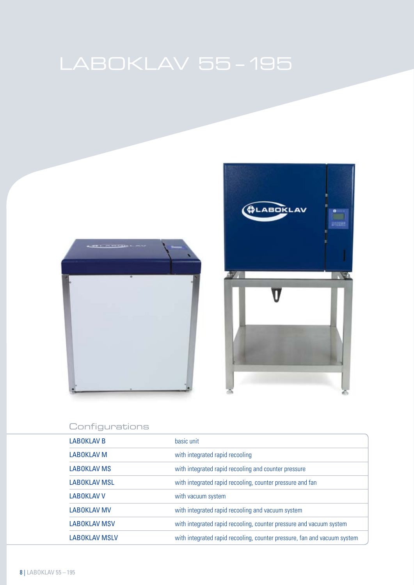



# Configurations

| <b>LABOKLAV B</b>    | basic unit                                                               |
|----------------------|--------------------------------------------------------------------------|
| <b>LABOKLAV M</b>    | with integrated rapid recooling                                          |
| <b>LABOKLAV MS</b>   | with integrated rapid recooling and counter pressure                     |
| <b>LABOKLAV MSL</b>  | with integrated rapid recooling, counter pressure and fan                |
| <b>LABOKLAV V</b>    | with vacuum system                                                       |
| <b>LABOKLAV MV</b>   | with integrated rapid recooling and vacuum system                        |
| <b>LABOKLAV MSV</b>  | with integrated rapid recooling, counter pressure and vacuum system      |
| <b>LABOKLAV MSLV</b> | with integrated rapid recooling, counter pressure, fan and vacuum system |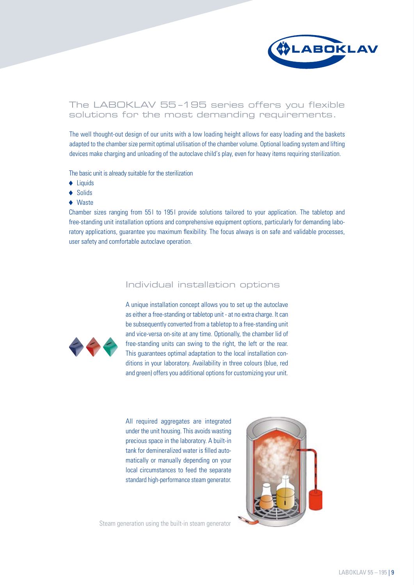

# The LABOKLAV 55 –195 series offers you flexible solutions for the most demanding requirements.

The well thought-out design of our units with a low loading height allows for easy loading and the baskets adapted to the chamber size permit optimal utilisation of the chamber volume. Optional loading system and lifting devices make charging and unloading of the autoclave child's play, even for heavy items requiring sterilization.

The basic unit is already suitable for the sterilization

- ◆ Liquids
- ◆ Solids
- ◆ Waste

Chamber sizes ranging from 551 to 1951 provide solutions tailored to your application. The tabletop and free-standing unit installation options and comprehensive equipment options, particularly for demanding laboratory applications, guarantee you maximum flexibility. The focus always is on safe and validable processes, user safety and comfortable autoclave operation.

# Individual installation options



A unique installation concept allows you to set up the autoclave as either a free-standing or tabletop unit - at no extra charge. It can be subsequently converted from a tabletop to a free-standing unit and vice-versa on-site at any time. Optionally, the chamber lid of free-standing units can swing to the right, the left or the rear. This guarantees optimal adaptation to the local installation conditions in your laboratory. Availability in three colours (blue, red and green) offers you additional options for customizing your unit.

All required aggregates are integrated under the unit housing. This avoids wasting precious space in the laboratory. A built-in tank for demineralized water is filled automatically or manually depending on your local circumstances to feed the separate standard high-performance steam generator.



Steam generation using the built-in steam generator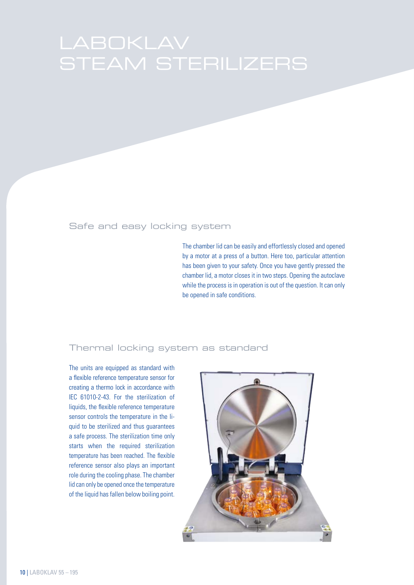# Safe and easy locking system

The chamber lid can be easily and effortlessly closed and opened by a motor at a press of a button. Here too, particular attention has been given to your safety. Once you have gently pressed the chamber lid, a motor closes it in two steps. Opening the autoclave while the process is in operation is out of the question. It can only be opened in safe conditions.

# Thermal locking system as standard

The units are equipped as standard with a flexible reference temperature sensor for creating a thermo lock in accordance with IEC 61010-2-43. For the sterilization of liquids, the flexible reference temperature sensor controls the temperature in the liquid to be sterilized and thus guarantees a safe process. The sterilization time only starts when the required sterilization temperature has been reached. The flexible reference sensor also plays an important role during the cooling phase. The chamber lid can only be opened once the temperature of the liquid has fallen below boiling point.

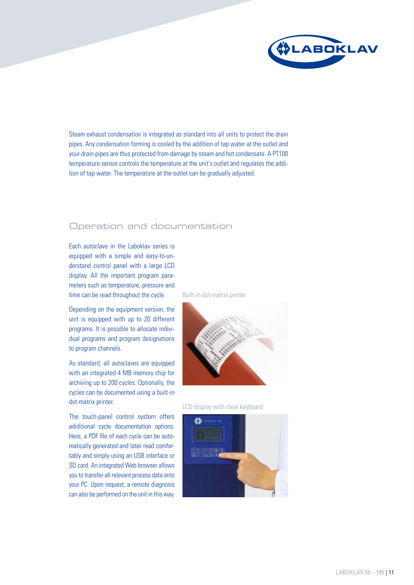

Steam exhaust condensation is integrated as standard into all units to protect the drain pipes. Any condensation forming is cooled by the addition of tap water at the outlet and your drain pipes are thus protected from damage by steam and hot condensate. A PT100 temperature sensor controls the temperature at the unit's outlet and regulates the addition of tap water. The temperature at the outlet can be gradually adjusted.

# Operation and documentation

Each autoclave in the Laboklav series is equipped with a simple and easy-to-understand control panel with a large LCD display. All the important program parameters such as temperature, pressure and time can be read throughout the cycle.

Depending on the equipment version, the unit is equipped with up to 20 different programs. It is possible to allocate individual programs and program designations to program channels.

As standard, all autoclaves are equipped with an integrated 4 MB memory chip for archiving up to 200 cycles. Optionally, the cycles can be documented using a built-in dot-matrix printer.

The touch-panel control system offers adiditional cycle documentation options. Here, a PDF file of each cycle can be automatically generated and later read comfortably and simply using an USB interface or SD card. An integrated Web browser allows you to transfer all relevant process data onto your PC. Upon request, a remote diagnosis can also be performed on the unit in this way.

Built-in dot-matrix printer



LCD display with clear keyboard

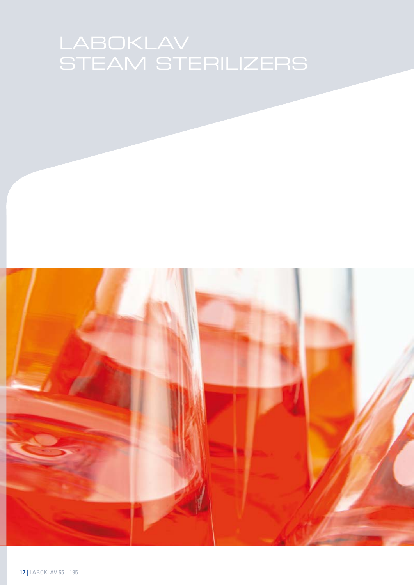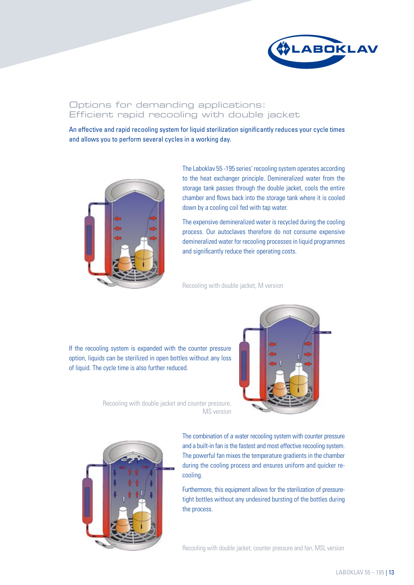

# Options for demanding applications: Efficient rapid recooling with double jacket

An effective and rapid recooling system for liquid sterilization significantly reduces your cycle times and allows you to perform several cycles in a working day.



The Laboklav 55 -195 series' recooling system operates according to the heat exchanger principle. Demineralized water from the storage tank passes through the double jacket, cools the entire chamber and flows back into the storage tank where it is cooled down by a cooling coil fed with tap water.

The expensive demineralized water is recycled during the cooling process. Our autoclaves therefore do not consume expensive demineralized water for recooling processes in liquid programmes and significantly reduce their operating costs.

Recooling with double jacket, M version

If the recooling system is expanded with the counter pressure option, liquids can be sterilized in open bottles without any loss of liquid. The cycle time is also further reduced.



Recooling with double jacket and counter pressure, MS version



The combination of a water recooling system with counter pressure and a built-in fan is the fastest and most effective recooling system. The powerful fan mixes the temperature gradients in the chamber during the cooling process and ensures uniform and quicker recooling.

Furthermore, this equipment allows for the sterilization of pressuretight bottles without any undesired bursting of the bottles during the process.

Recooling with double jacket, counter pressure and fan, MSL version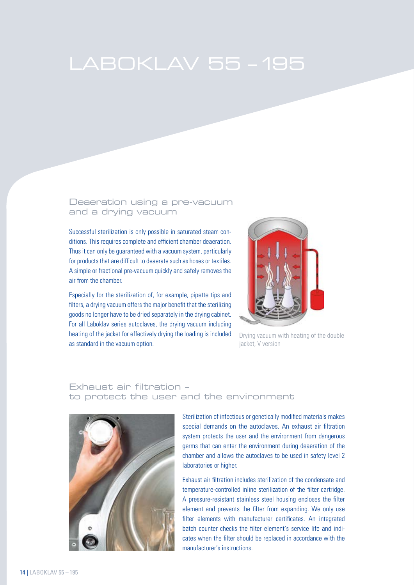### Deaeration using a pre-vacuum and a drying vacuum

Successful sterilization is only possible in saturated steam conditions. This requires complete and efficient chamber deaeration. Thus it can only be guaranteed with a vacuum system, particularly for products that are difficult to deaerate such as hoses or textiles. A simple or fractional pre-vacuum quickly and safely removes the air from the chamber.

Especially for the sterilization of, for example, pipette tips and filters, a drying vacuum offers the major benefit that the sterilizing goods no longer have to be dried separately in the drying cabinet. For all Laboklav series autoclaves, the drying vacuum including heating of the jacket for effectively drying the loading is included as standard in the vacuum option.



Drying vacuum with heating of the double jacket, V version

# Exhaust air filtration – to protect the user and the environment



Sterilization of infectious or genetically modified materials makes special demands on the autoclaves. An exhaust air filtration system protects the user and the environment from dangerous germs that can enter the environment during deaeration of the chamber and allows the autoclaves to be used in safety level 2 laboratories or higher.

Exhaust air filtration includes sterilization of the condensate and temperature-controlled inline sterilization of the filter cartridge. A pressure-resistant stainless steel housing encloses the filter element and prevents the filter from expanding. We only use filter elements with manufacturer certificates. An integrated batch counter checks the filter element's service life and indicates when the filter should be replaced in accordance with the manufacturer's instructions.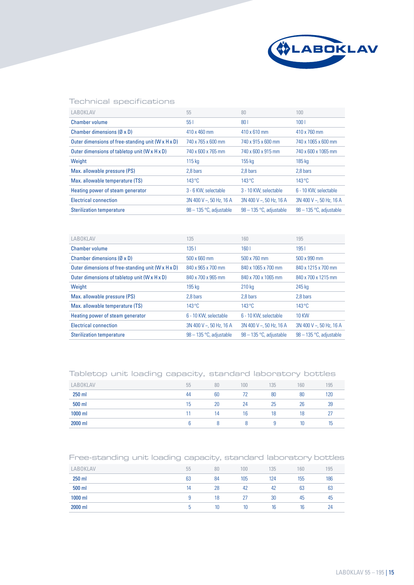

### Technical specifications

| LABOKLAV                                           | 55                              | 80                        | 100                             |
|----------------------------------------------------|---------------------------------|---------------------------|---------------------------------|
| <b>Chamber volume</b>                              | 551                             | 80 <sub>1</sub>           | 1001                            |
| Chamber dimensions $(\emptyset \times D)$          | 410 x 460 mm                    | 410 x 610 mm              | 410 x 760 mm                    |
| Outer dimensions of free-standing unit (W x H x D) | 740 x 765 x 600 mm              | 740 x 915 x 600 mm        | 740 x 1065 x 600 mm             |
| Outer dimensions of tabletop unit (W x H x D)      | 740 x 600 x 765 mm              | 740 x 600 x 915 mm        | 740 x 600 x 1065 mm             |
| Weight                                             | $115 \text{ kg}$                | $155$ kg                  | 185 kg                          |
| Max. allowable pressure (PS)                       | 2.8 bars                        | 2.8 bars                  | 2.8 bars                        |
| Max. allowable temperature (TS)                    | $143^{\circ}$ C                 | $143^{\circ}$ C           | $143^{\circ}$ C                 |
| Heating power of steam generator                   | 3 - 6 KW, selectable            | 3 - 10 KW, selectable     | 6 - 10 KW, selectable           |
| <b>Electrical connection</b>                       | $3N$ 400 V $\sim$ , 50 Hz, 16 A | $3N$ 400 V ~ 50 Hz, 16 A  | $3N$ 400 V $\sim$ , 50 Hz, 16 A |
| <b>Sterilization temperature</b>                   | $98 - 135$ °C, adjustable       | $98 - 135$ °C, adjustable | $98 - 135$ °C, adjustable       |

| LABOKLAV                                           | 135                             | 160                       | 195                             |
|----------------------------------------------------|---------------------------------|---------------------------|---------------------------------|
| <b>Chamber volume</b>                              | 1351                            | 160 <sub>1</sub>          | 1951                            |
| Chamber dimensions $(\emptyset \times D)$          | 500 x 660 mm                    | 500 x 760 mm              | 500 x 990 mm                    |
| Outer dimensions of free-standing unit (W x H x D) | 840 x 965 x 700 mm              | 840 x 1065 x 700 mm       | 840 x 1215 x 700 mm             |
| Outer dimensions of tabletop unit (W x H x D)      | 840 x 700 x 965 mm              | 840 x 700 x 1065 mm       | 840 x 700 x 1215 mm             |
| Weight                                             | 195 kg                          | 210 kg                    | 245 kg                          |
| Max. allowable pressure (PS)                       | 2.8 bars                        | 2,8 bars                  | 2.8 bars                        |
| Max. allowable temperature (TS)                    | $143^{\circ}$ C                 | $143^{\circ}$ C           | $143^{\circ}$ C                 |
| Heating power of steam generator                   | 6 - 10 KW, selectable           | 6 - 10 KW, selectable     | <b>10 KW</b>                    |
| <b>Electrical connection</b>                       | $3N$ 400 V $\sim$ , 50 Hz, 16 A | $3N$ 400 V ~, 50 Hz, 16 A | $3N$ 400 V $\sim$ , 50 Hz, 16 A |
| <b>Sterilization temperature</b>                   | $98 - 135$ °C, adjustable       | 98 - 135 °C, adjustable   | $98 - 135$ °C, adjustable       |

### Tabletop unit loading capacity, standard laboratory bottles

| <b>LABOKLAV</b> | 55 | 80 | 100 | 135 | 160 | 195 |
|-----------------|----|----|-----|-----|-----|-----|
| 250 ml          | 44 | 60 | 72  | 80  | 80  | 120 |
| 500 ml          | 15 | 20 | 24  | 25  | 26  | 39  |
| 1000 ml         | 11 | 14 | 16  | 18  | 18  |     |
| 2000 ml         |    |    |     | 9   | 10  |     |

### Free-standing unit loading capacity, standard laboratory bottles

| <b>LABOKLAV</b> | 55 | 80 | 100 | 135 | 160 | 195 |
|-----------------|----|----|-----|-----|-----|-----|
| 250 ml          | 63 | 84 | 105 | 124 | 155 | 186 |
| 500 ml          | 14 | 28 | 42  | 42  | 63  | 63  |
| 1000 ml         |    | 18 | 27  | 30  | 45  | 45  |
| 2000 ml         | ь  | 10 | 10  | 16  | 16  | 24  |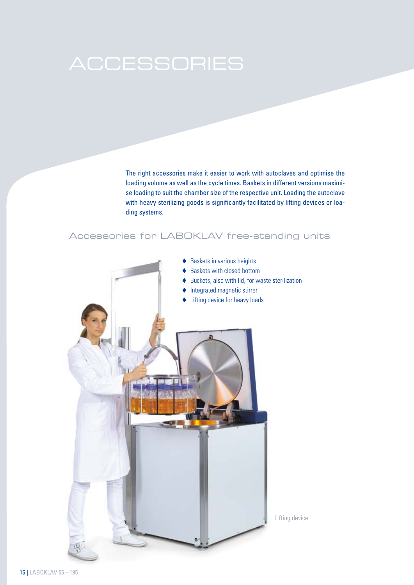The right accessories make it easier to work with autoclaves and optimise the loading volume as well as the cycle times. Baskets in different versions maximise loading to suit the chamber size of the respective unit. Loading the autoclave with heavy sterilizing goods is significantly facilitated by lifting devices or loading systems.

# Accessories for LABOKLAV free-standing units

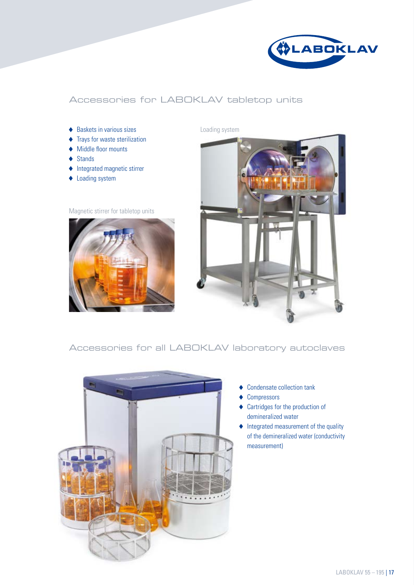

# Accessories for LABOKLAV tabletop units

- ◆ Baskets in various sizes
- $\blacklozenge$  Trays for waste sterilization
- ◆ Middle floor mounts
- ◆ Stands
- $\blacklozenge$  Integrated magnetic stirrer
- ◆ Loading system

### Magnetic stirrer for tabletop units



Loading system



# Accessories for all LABOKLAV laboratory autoclaves



- ◆ Condensate collection tank
- ◆ Compressors
- Cartridges for the production of demineralized water
- $\blacklozenge$  Integrated measurement of the quality of the demineralized water (conductivity measurement)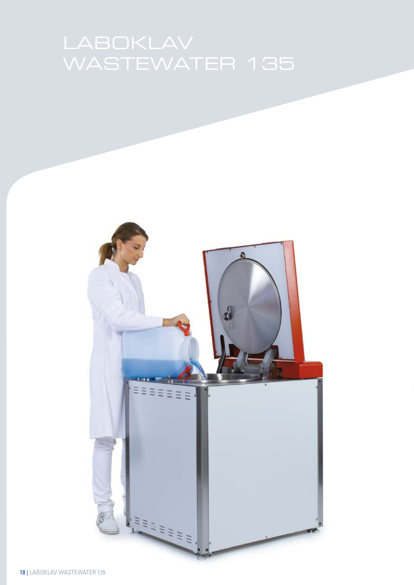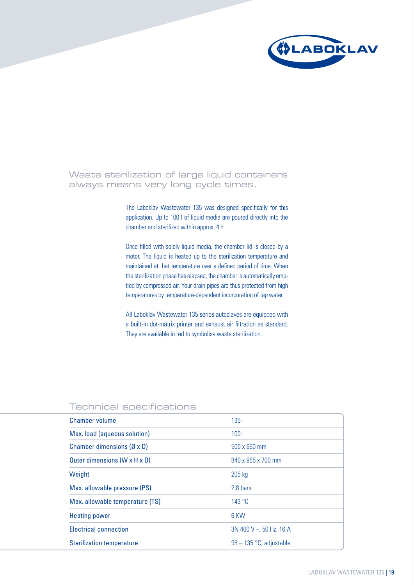

Waste sterilization of large liquid containers always means very long cycle times.

> The Laboklav Wastewater 135 was designed specifically for this application. Up to 100 l of liquid media are poured directly into the chamber and sterilized within approx. 4 h.

> Once filled with solely liquid media, the chamber lid is closed by a motor. The liquid is heated up to the sterilization temperature and maintained at that temperature over a defined period of time. When the sterilization phase has elapsed, the chamber is automatically emptied by compressed air. Your drain pipes are thus protected from high temperatures by temperature-dependent incorporation of tap water.

> All Laboklav Wastewater 135 series autoclaves are equipped with a built-in dot-matrix printer and exhaust air filtration as standard. They are available in red to symbolise waste sterilization.

| Chamber volume                            | 1351                      |
|-------------------------------------------|---------------------------|
| Max. load (aqueous solution)              | 100 <sub>1</sub>          |
| Chamber dimensions $(\emptyset \times D)$ | 500 x 660 mm              |
| Outer dimensions $(W \times H \times D)$  | 840 x 965 x 700 mm        |
| Weight                                    | 205 kg                    |
| Max. allowable pressure (PS)              | 2,8 bars                  |
| Max. allowable temperature (TS)           | 143 °C                    |
| <b>Heating power</b>                      | 6 KW                      |
| <b>Electrical connection</b>              | $3N$ 400 V ~, 50 Hz, 16 A |
| <b>Sterilization temperature</b>          | $98 - 135$ °C, adjustable |

# Technical specifications